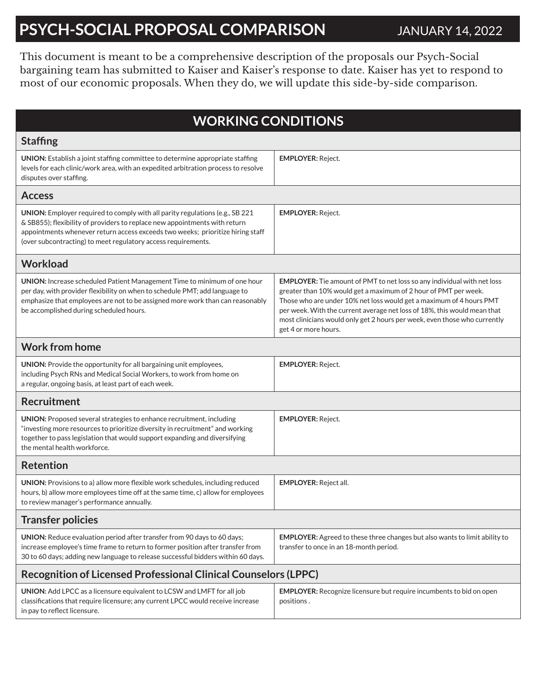# **PSYCH-SOCIAL PROPOSAL COMPARISON** JANUARY 14, 2022

This document is meant to be a comprehensive description of the proposals our Psych-Social bargaining team has submitted to Kaiser and Kaiser's response to date. Kaiser has yet to respond to most of our economic proposals. When they do, we will update this side-by-side comparison.

| <b>WORKING CONDITIONS</b>                                                                                                                                                                                                                                                                                     |                                                                                                                                                                                                                                                                                                                                                                                                           |  |
|---------------------------------------------------------------------------------------------------------------------------------------------------------------------------------------------------------------------------------------------------------------------------------------------------------------|-----------------------------------------------------------------------------------------------------------------------------------------------------------------------------------------------------------------------------------------------------------------------------------------------------------------------------------------------------------------------------------------------------------|--|
| <b>Staffing</b>                                                                                                                                                                                                                                                                                               |                                                                                                                                                                                                                                                                                                                                                                                                           |  |
| UNION: Establish a joint staffing committee to determine appropriate staffing<br>levels for each clinic/work area, with an expedited arbitration process to resolve<br>disputes over staffing.                                                                                                                | <b>EMPLOYER: Reject.</b>                                                                                                                                                                                                                                                                                                                                                                                  |  |
| <b>Access</b>                                                                                                                                                                                                                                                                                                 |                                                                                                                                                                                                                                                                                                                                                                                                           |  |
| UNION: Employer required to comply with all parity regulations (e.g., SB 221<br>& SB855); flexibility of providers to replace new appointments with return<br>appointments whenever return access exceeds two weeks; prioritize hiring staff<br>(over subcontracting) to meet regulatory access requirements. | <b>EMPLOYER: Reject.</b>                                                                                                                                                                                                                                                                                                                                                                                  |  |
| <b>Workload</b>                                                                                                                                                                                                                                                                                               |                                                                                                                                                                                                                                                                                                                                                                                                           |  |
| UNION: Increase scheduled Patient Management Time to minimum of one hour<br>per day, with provider flexibility on when to schedule PMT; add language to<br>emphasize that employees are not to be assigned more work than can reasonably<br>be accomplished during scheduled hours.                           | <b>EMPLOYER:</b> Tie amount of PMT to net loss so any individual with net loss<br>greater than 10% would get a maximum of 2 hour of PMT per week.<br>Those who are under 10% net loss would get a maximum of 4 hours PMT<br>per week. With the current average net loss of 18%, this would mean that<br>most clinicians would only get 2 hours per week, even those who currently<br>get 4 or more hours. |  |
| <b>Work from home</b>                                                                                                                                                                                                                                                                                         |                                                                                                                                                                                                                                                                                                                                                                                                           |  |
| UNION: Provide the opportunity for all bargaining unit employees,<br>including Psych RNs and Medical Social Workers, to work from home on<br>a regular, ongoing basis, at least part of each week.                                                                                                            | <b>EMPLOYER: Reject.</b>                                                                                                                                                                                                                                                                                                                                                                                  |  |
| <b>Recruitment</b>                                                                                                                                                                                                                                                                                            |                                                                                                                                                                                                                                                                                                                                                                                                           |  |
| UNION: Proposed several strategies to enhance recruitment, including<br>"investing more resources to prioritize diversity in recruitment" and working<br>together to pass legislation that would support expanding and diversifying<br>the mental health workforce.                                           | <b>EMPLOYER: Reject.</b>                                                                                                                                                                                                                                                                                                                                                                                  |  |
| <b>Retention</b>                                                                                                                                                                                                                                                                                              |                                                                                                                                                                                                                                                                                                                                                                                                           |  |
| UNION: Provisions to a) allow more flexible work schedules, including reduced<br>hours, b) allow more employees time off at the same time, c) allow for employees<br>to review manager's performance annually.                                                                                                | <b>EMPLOYER: Reject all.</b>                                                                                                                                                                                                                                                                                                                                                                              |  |
| <b>Transfer policies</b>                                                                                                                                                                                                                                                                                      |                                                                                                                                                                                                                                                                                                                                                                                                           |  |
| UNION: Reduce evaluation period after transfer from 90 days to 60 days;<br>increase employee's time frame to return to former position after transfer from<br>30 to 60 days; adding new language to release successful bidders within 60 days.                                                                | EMPLOYER: Agreed to these three changes but also wants to limit ability to<br>transfer to once in an 18-month period.                                                                                                                                                                                                                                                                                     |  |
| <b>Recognition of Licensed Professional Clinical Counselors (LPPC)</b>                                                                                                                                                                                                                                        |                                                                                                                                                                                                                                                                                                                                                                                                           |  |
| UNION: Add LPCC as a licensure equivalent to LCSW and LMFT for all job<br>classifications that require licensure; any current LPCC would receive increase<br>in pay to reflect licensure.                                                                                                                     | <b>EMPLOYER:</b> Recognize licensure but require incumbents to bid on open<br>positions.                                                                                                                                                                                                                                                                                                                  |  |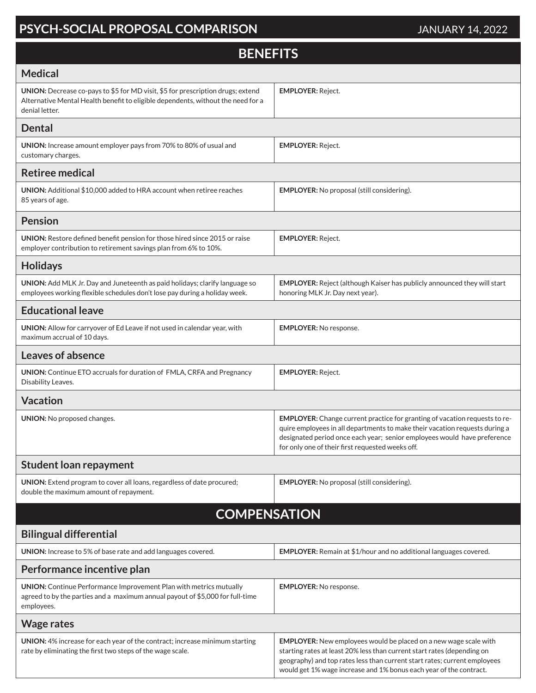### **PSYCH-SOCIAL PROPOSAL COMPARISON** JANUARY 14, 2022

| <b>BENEFITS</b>                                                                                                                                                                       |                                                                                                                                                                                                                                                                                                       |  |
|---------------------------------------------------------------------------------------------------------------------------------------------------------------------------------------|-------------------------------------------------------------------------------------------------------------------------------------------------------------------------------------------------------------------------------------------------------------------------------------------------------|--|
| <b>Medical</b>                                                                                                                                                                        |                                                                                                                                                                                                                                                                                                       |  |
| UNION: Decrease co-pays to \$5 for MD visit, \$5 for prescription drugs; extend<br>Alternative Mental Health benefit to eligible dependents, without the need for a<br>denial letter. | <b>EMPLOYER: Reject.</b>                                                                                                                                                                                                                                                                              |  |
| <b>Dental</b>                                                                                                                                                                         |                                                                                                                                                                                                                                                                                                       |  |
| UNION: Increase amount employer pays from 70% to 80% of usual and<br>customary charges.                                                                                               | <b>EMPLOYER: Reject.</b>                                                                                                                                                                                                                                                                              |  |
| <b>Retiree medical</b>                                                                                                                                                                |                                                                                                                                                                                                                                                                                                       |  |
| <b>UNION:</b> Additional \$10,000 added to HRA account when retiree reaches<br>85 years of age.                                                                                       | <b>EMPLOYER:</b> No proposal (still considering).                                                                                                                                                                                                                                                     |  |
| <b>Pension</b>                                                                                                                                                                        |                                                                                                                                                                                                                                                                                                       |  |
| UNION: Restore defined benefit pension for those hired since 2015 or raise<br>employer contribution to retirement savings plan from 6% to 10%.                                        | <b>EMPLOYER: Reject.</b>                                                                                                                                                                                                                                                                              |  |
| <b>Holidays</b>                                                                                                                                                                       |                                                                                                                                                                                                                                                                                                       |  |
| UNION: Add MLK Jr. Day and Juneteenth as paid holidays; clarify language so<br>employees working flexible schedules don't lose pay during a holiday week.                             | <b>EMPLOYER:</b> Reject (although Kaiser has publicly announced they will start<br>honoring MLK Jr. Day next year).                                                                                                                                                                                   |  |
| <b>Educational leave</b>                                                                                                                                                              |                                                                                                                                                                                                                                                                                                       |  |
| UNION: Allow for carryover of Ed Leave if not used in calendar year, with<br>maximum accrual of 10 days.                                                                              | <b>EMPLOYER: No response.</b>                                                                                                                                                                                                                                                                         |  |
| Leaves of absence                                                                                                                                                                     |                                                                                                                                                                                                                                                                                                       |  |
| <b>UNION:</b> Continue ETO accruals for duration of FMLA, CRFA and Pregnancy<br>Disability Leaves.                                                                                    | <b>EMPLOYER: Reject.</b>                                                                                                                                                                                                                                                                              |  |
| <b>Vacation</b>                                                                                                                                                                       |                                                                                                                                                                                                                                                                                                       |  |
| UNION: No proposed changes.                                                                                                                                                           | EMPLOYER: Change current practice for granting of vacation requests to re-<br>quire employees in all departments to make their vacation requests during a<br>designated period once each year; senior employees would have preference<br>for only one of their first requested weeks off.             |  |
| <b>Student loan repayment</b>                                                                                                                                                         |                                                                                                                                                                                                                                                                                                       |  |
| UNION: Extend program to cover all loans, regardless of date procured;<br>double the maximum amount of repayment.                                                                     | <b>EMPLOYER:</b> No proposal (still considering).                                                                                                                                                                                                                                                     |  |
| <b>COMPENSATION</b>                                                                                                                                                                   |                                                                                                                                                                                                                                                                                                       |  |
| <b>Bilingual differential</b>                                                                                                                                                         |                                                                                                                                                                                                                                                                                                       |  |
| UNION: Increase to 5% of base rate and add languages covered.                                                                                                                         | <b>EMPLOYER:</b> Remain at \$1/hour and no additional languages covered.                                                                                                                                                                                                                              |  |
| Performance incentive plan                                                                                                                                                            |                                                                                                                                                                                                                                                                                                       |  |
| <b>UNION:</b> Continue Performance Improvement Plan with metrics mutually<br>agreed to by the parties and a maximum annual payout of \$5,000 for full-time<br>employees.              | <b>EMPLOYER:</b> No response.                                                                                                                                                                                                                                                                         |  |
| <b>Wage rates</b>                                                                                                                                                                     |                                                                                                                                                                                                                                                                                                       |  |
| UNION: 4% increase for each year of the contract; increase minimum starting<br>rate by eliminating the first two steps of the wage scale.                                             | <b>EMPLOYER:</b> New employees would be placed on a new wage scale with<br>starting rates at least 20% less than current start rates (depending on<br>geography) and top rates less than current start rates; current employees<br>would get 1% wage increase and 1% bonus each year of the contract. |  |